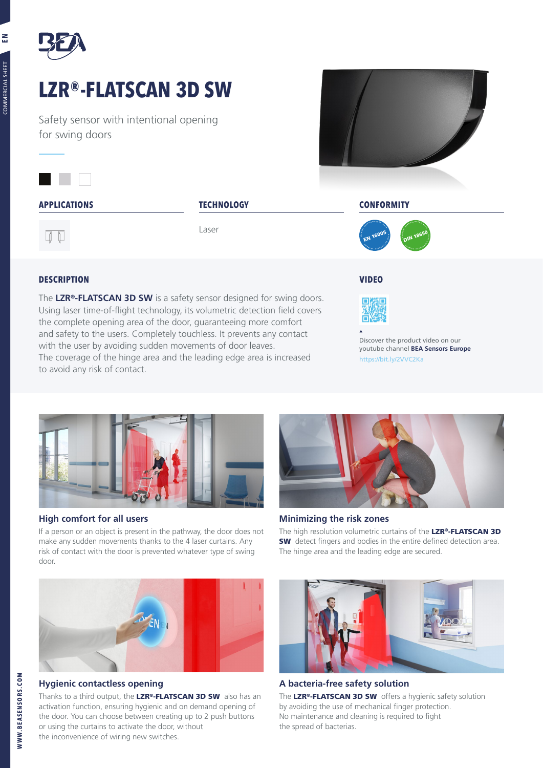

## **LZR®-FLATSCAN 3D SW**

Safety sensor with intentional opening for swing doors



Laser

## **APPLICATIONS TECHNOLOGY CONFORMITY**



## **DESCRIPTION VIDEO**

The **LZR®-FLATSCAN 3D SW** is a safety sensor designed for swing doors. Using laser time-of-flight technology, its volumetric detection field covers the complete opening area of the door, guaranteeing more comfort and safety to the users. Completely touchless. It prevents any contact with the user by avoiding sudden movements of door leaves. The coverage of the hinge area and the leading edge area is increased to avoid any risk of contact.



Discover the product video on our youtube channel **BEA Sensors Europe** https://bit.ly/2VVC2Ka



### **High comfort for all users**

If a person or an object is present in the pathway, the door does not make any sudden movements thanks to the 4 laser curtains. Any risk of contact with the door is prevented whatever type of swing door.



**Minimizing the risk zones**

The high resolution volumetric curtains of the LZR®-FLATSCAN 3D **SW** detect fingers and bodies in the entire defined detection area. The hinge area and the leading edge are secured.



#### **Hygienic contactless opening**

Thanks to a third output, the **LZR®-FLATSCAN 3D SW** also has an activation function, ensuring hygienic and on demand opening of the door. You can choose between creating up to 2 push buttons or using the curtains to activate the door, without the inconvenience of wiring new switches.



**A bacteria-free safety solution** The LZR<sup>®</sup>-FLATSCAN 3D SW offers a hygienic safety solution by avoiding the use of mechanical finger protection. No maintenance and cleaning is required to fight the spread of bacterias.